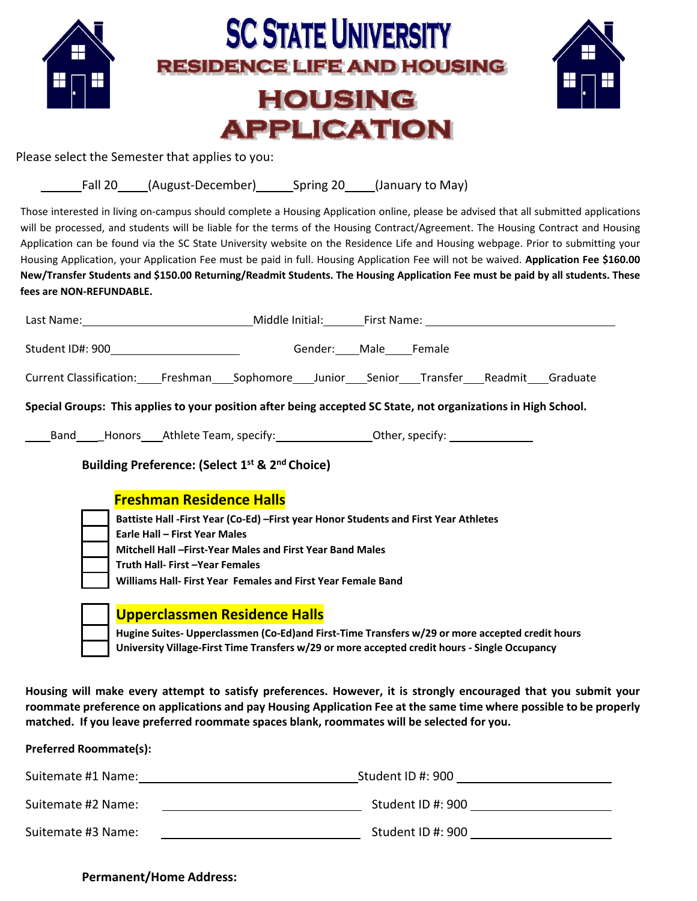

Housing will make every attempt to satisfy preferences. However, it is strongly encouraged that you submit your roommate preference on applications and pay Housing Application Fee at the same time where possible to be properly **matched. If you leave preferred roommate spaces blank, roommates will be selected for you.**

| <b>Preferred Roommate(s):</b> |                   |
|-------------------------------|-------------------|
| Suitemate #1 Name:            | Student ID #: 900 |
| Suitemate #2 Name:            | Student ID #: 900 |
| Suitemate #3 Name:            | Student ID #: 900 |

## **Permanent/Home Address:**